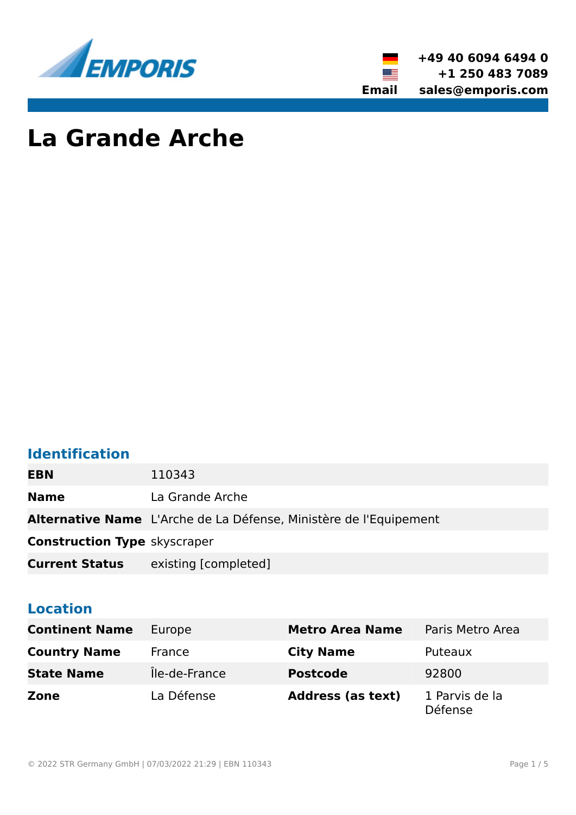



# **La Grande Arche**

# **Identification**

| <b>EBN</b>                          | 110343                                                                   |
|-------------------------------------|--------------------------------------------------------------------------|
| <b>Name</b>                         | La Grande Arche                                                          |
|                                     | <b>Alternative Name</b> L'Arche de La Défense, Ministère de l'Equipement |
| <b>Construction Type skyscraper</b> |                                                                          |
| <b>Current Status</b>               | existing [completed]                                                     |

# **Location**

| <b>Continent Name</b> | Europe        | <b>Metro Area Name</b>   | Paris Metro Area                 |
|-----------------------|---------------|--------------------------|----------------------------------|
| <b>Country Name</b>   | France        | <b>City Name</b>         | Puteaux                          |
| <b>State Name</b>     | Île-de-France | <b>Postcode</b>          | 92800                            |
| Zone                  | La Défense    | <b>Address (as text)</b> | 1 Parvis de la<br><b>Défense</b> |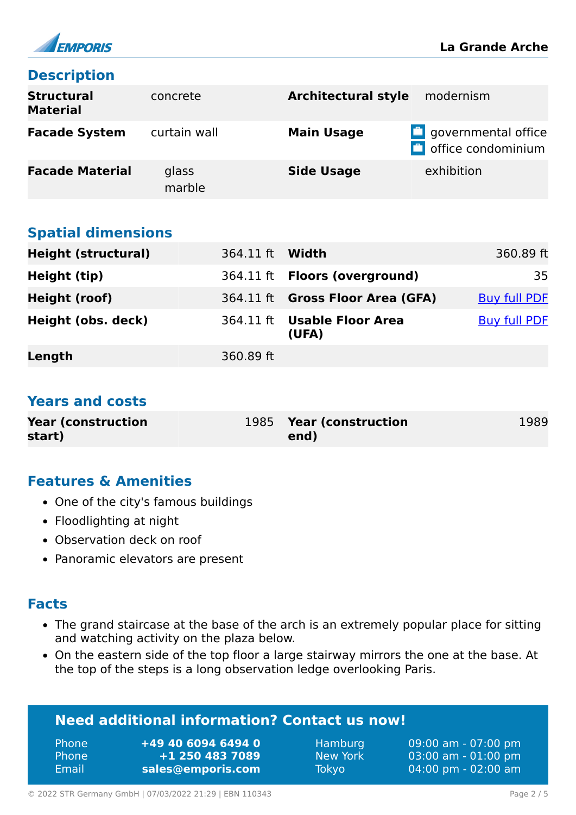

# **Description**

| <b>Structural</b><br><b>Material</b> | concrete        | <b>Architectural style</b> | modernism                                               |
|--------------------------------------|-----------------|----------------------------|---------------------------------------------------------|
| <b>Facade System</b>                 | curtain wall    | <b>Main Usage</b>          | $\Box$ governmental office<br>$\Box$ office condominium |
| <b>Facade Material</b>               | glass<br>marble | <b>Side Usage</b>          | exhibition                                              |

# **Spatial dimensions**

| <b>Height (structural)</b> | 364.11 ft <b>Width</b> |                                      | 360.89 ft           |
|----------------------------|------------------------|--------------------------------------|---------------------|
| Height (tip)               |                        | 364.11 ft <b>Floors (overground)</b> | 35                  |
| Height (roof)              |                        | 364.11 ft Gross Floor Area (GFA)     | <b>Buy full PDF</b> |
| Height (obs. deck)         |                        | 364.11 ft Usable Floor Area<br>(UFA) | <b>Buy full PDF</b> |
| Length                     | 360.89 ft              |                                      |                     |

### **Years and costs**

| <b>Year (construction)</b> | 1985 Year (construction | 1989 |
|----------------------------|-------------------------|------|
| start)                     | end)                    |      |

# **Features & Amenities**

- One of the city's famous buildings
- Floodlighting at night
- Observation deck on roof
- Panoramic elevators are present

#### **Facts**

- The grand staircase at the base of the arch is an extremely popular place for sitting and watching activity on the plaza below.
- On the eastern side of the top floor a large stairway mirrors the one at the base. At the top of the steps is a long observation ledge overlooking Paris.

| <b>Need additional information? Contact us now!</b> |  |
|-----------------------------------------------------|--|
|-----------------------------------------------------|--|

| <b>Phone</b> | +49 40 6094 6494 0 |
|--------------|--------------------|
| <b>Phone</b> | +1 250 483 7089    |
| Email        | sales@emporis.com  |

Hamburg 09:00 am - 07:00 pm New York 03:00 am - 01:00 pm Tokyo 04:00 pm - 02:00 am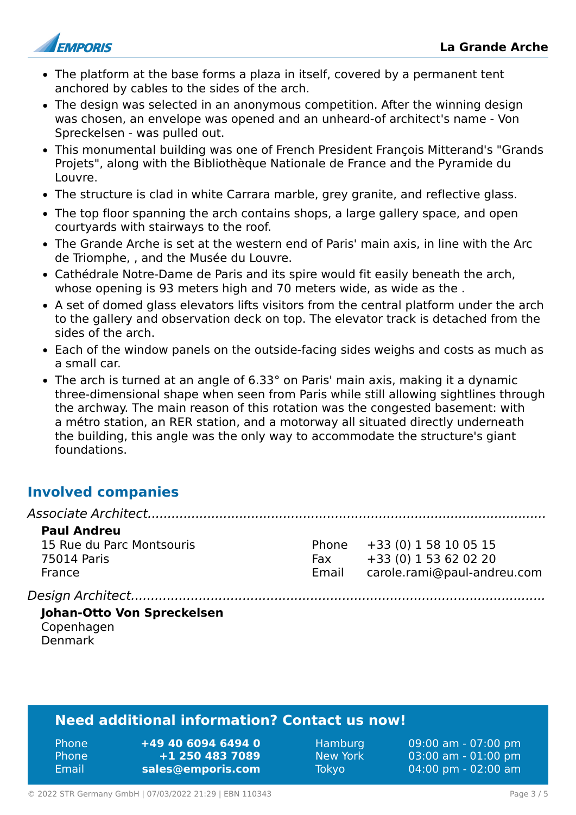

- The platform at the base forms a plaza in itself, covered by a permanent tent anchored by cables to the sides of the arch.
- The design was selected in an anonymous competition. After the winning design was chosen, an envelope was opened and an unheard-of architect's name - Von Spreckelsen - was pulled out.
- This monumental building was one of French President François Mitterand's "Grands Projets", along with the Bibliothèque Nationale de France and the Pyramide du Louvre.
- The structure is clad in white Carrara marble, grey granite, and reflective glass.
- The top floor spanning the arch contains shops, a large gallery space, and open courtyards with stairways to the roof.
- The Grande Arche is set at the western end of Paris' main axis, in line with the Arc de Triomphe, , and the Musée du Louvre.
- Cathédrale Notre-Dame de Paris and its spire would fit easily beneath the arch, whose opening is 93 meters high and 70 meters wide, as wide as the .
- A set of domed glass elevators lifts visitors from the central platform under the arch to the gallery and observation deck on top. The elevator track is detached from the sides of the arch.
- Each of the window panels on the outside-facing sides weighs and costs as much as a small car.
- The arch is turned at an angle of 6.33° on Paris' main axis, making it a dynamic three-dimensional shape when seen from Paris while still allowing sightlines through the archway. The main reason of this rotation was the congested basement: with a métro station, an RER station, and a motorway all situated directly underneath the building, this angle was the only way to accommodate the structure's giant foundations.

# **Involved companies**

| <b>Paul Andreu</b> |  |  |     |  |  |  |  |
|--------------------|--|--|-----|--|--|--|--|
|                    |  |  | - - |  |  |  |  |

15 Rue du Parc Montsouris 75014 Paris France

Phone +33 (0) 1 58 10 05 15 Fax +33 (0) 1 53 62 02 20 Email carole.rami@paul-andreu.com

*Design Architect........................................................................................................*

#### **Johan-Otto Von Spreckelsen** Copenhagen Denmark

# **Need additional information? Contact us now!**

| <b>Phone</b> | +49 40 6094 6494 0 |
|--------------|--------------------|
| <b>Phone</b> | +1 250 483 7089    |
| - Email      | sales@emporis.com  |

Hamburg 09:00 am - 07:00 pm New York 03:00 am - 01:00 pm Tokyo 04:00 pm - 02:00 am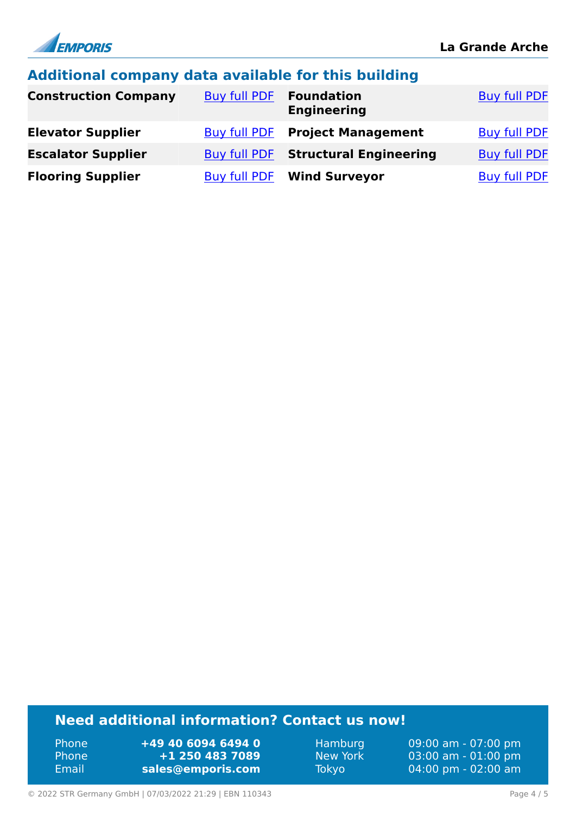

### **Additional company data available for this building**

| <b>Construction Company</b> | <b>Buy full PDF</b> | <b>Foundation</b><br><b>Engineering</b> | <b>Buy full PDF</b> |
|-----------------------------|---------------------|-----------------------------------------|---------------------|
| <b>Elevator Supplier</b>    |                     | <b>Buy full PDF Project Management</b>  | <b>Buy full PDF</b> |
| <b>Escalator Supplier</b>   | Buy full PDF        | <b>Structural Engineering</b>           | <b>Buy full PDF</b> |
| <b>Flooring Supplier</b>    |                     | <b>Buy full PDF Wind Surveyor</b>       | <b>Buy full PDF</b> |

# **Need additional information? Contact us now!**

Phone **+49 40 6094 6494 0** Phone **+1 250 483 7089** Email **<sales@emporis.com>**

Hamburg 09:00 am - 07:00 pm New York 03:00 am - 01:00 pm<br>Tokyo 04:00 pm - 02:00 am 04:00 pm - 02:00 am